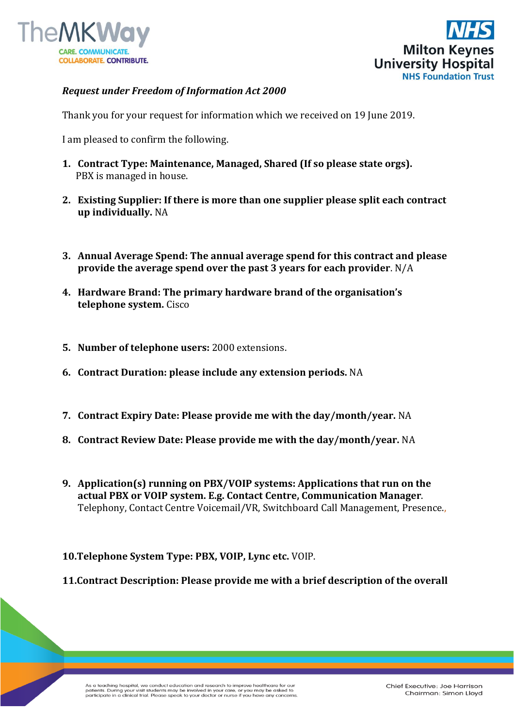



## *Request under Freedom of Information Act 2000*

Thank you for your request for information which we received on 19 June 2019.

I am pleased to confirm the following.

- **1. Contract Type: Maintenance, Managed, Shared (If so please state orgs).** PBX is managed in house.
- **2. Existing Supplier: If there is more than one supplier please split each contract up individually.** NA
- **3. Annual Average Spend: The annual average spend for this contract and please provide the average spend over the past 3 years for each provider**. N/A
- **4. Hardware Brand: The primary hardware brand of the organisation's telephone system.** Cisco
- **5. Number of telephone users:** 2000 extensions.
- **6. Contract Duration: please include any extension periods.** NA
- **7. Contract Expiry Date: Please provide me with the day/month/year.** NA
- **8. Contract Review Date: Please provide me with the day/month/year.** NA
- **9. Application(s) running on PBX/VOIP systems: Applications that run on the actual PBX or VOIP system. E.g. Contact Centre, Communication Manager**. Telephony, Contact Centre Voicemail/VR, Switchboard Call Management, Presence.,

**10.Telephone System Type: PBX, VOIP, Lync etc.** VOIP.

**11.Contract Description: Please provide me with a brief description of the overall**